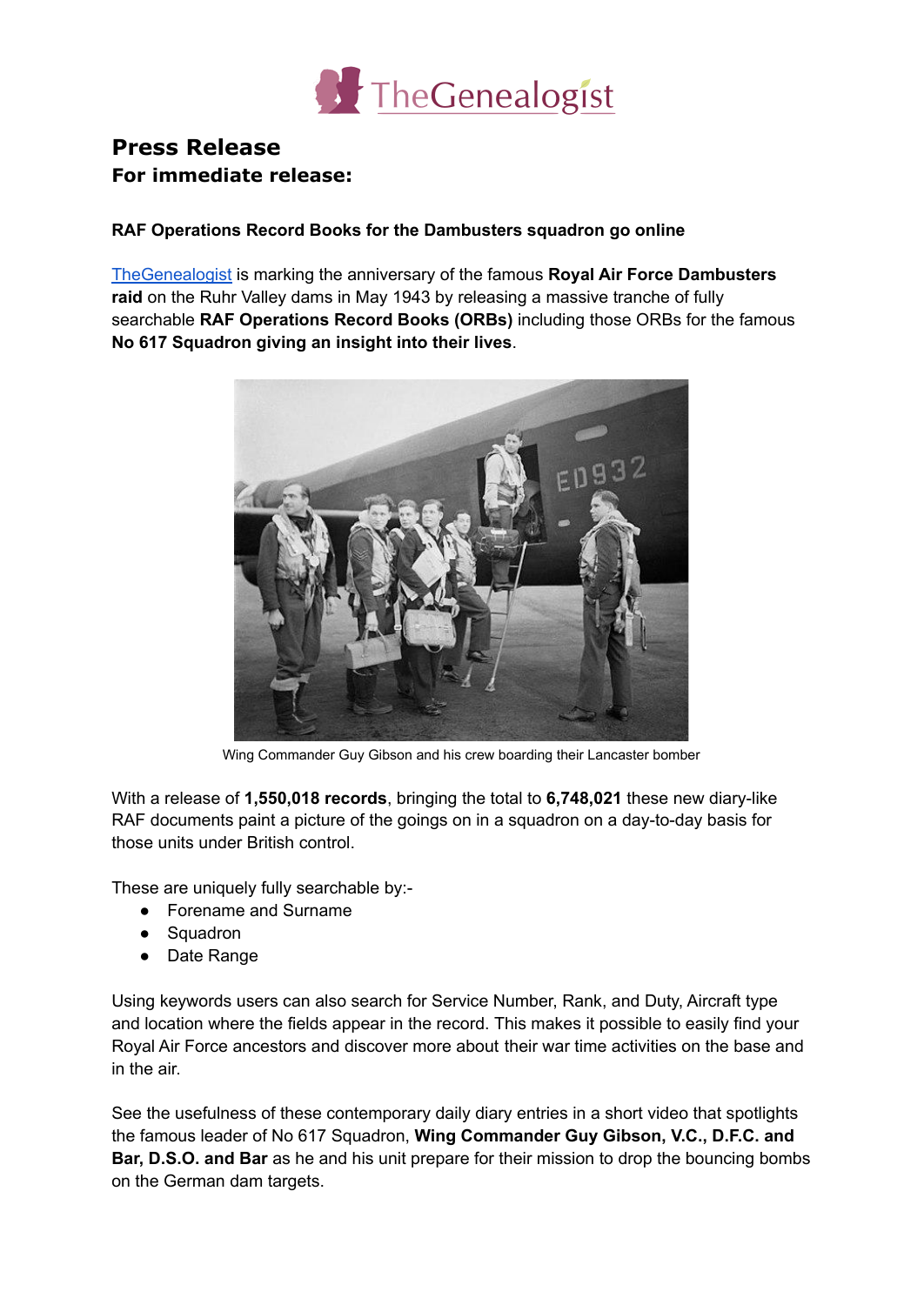

## **Press Release For immediate release:**

## **RAF Operations Record Books for the Dambusters squadron go online**

[TheGenealogist](https://www.thegenealogist.co.uk) is marking the anniversary of the famous **Royal Air Force Dambusters raid** on the Ruhr Valley dams in May 1943 by releasing a massive tranche of fully searchable **RAF Operations Record Books (ORBs)** including those ORBs for the famous **No 617 Squadron giving an insight into their lives**.



Wing Commander Guy Gibson and his crew boarding their Lancaster bomber

With a release of **1,550,018 records**, bringing the total to **6,748,021** these new diary-like RAF documents paint a picture of the goings on in a squadron on a day-to-day basis for those units under British control.

These are uniquely fully searchable by:-

- Forename and Surname
- Squadron
- Date Range

Using keywords users can also search for Service Number, Rank, and Duty, Aircraft type and location where the fields appear in the record. This makes it possible to easily find your Royal Air Force ancestors and discover more about their war time activities on the base and in the air.

See the usefulness of these contemporary daily diary entries in a short video that spotlights the famous leader of No 617 Squadron, **Wing Commander Guy Gibson, V.C., D.F.C. and Bar, D.S.O. and Bar** as he and his unit prepare for their mission to drop the bouncing bombs on the German dam targets.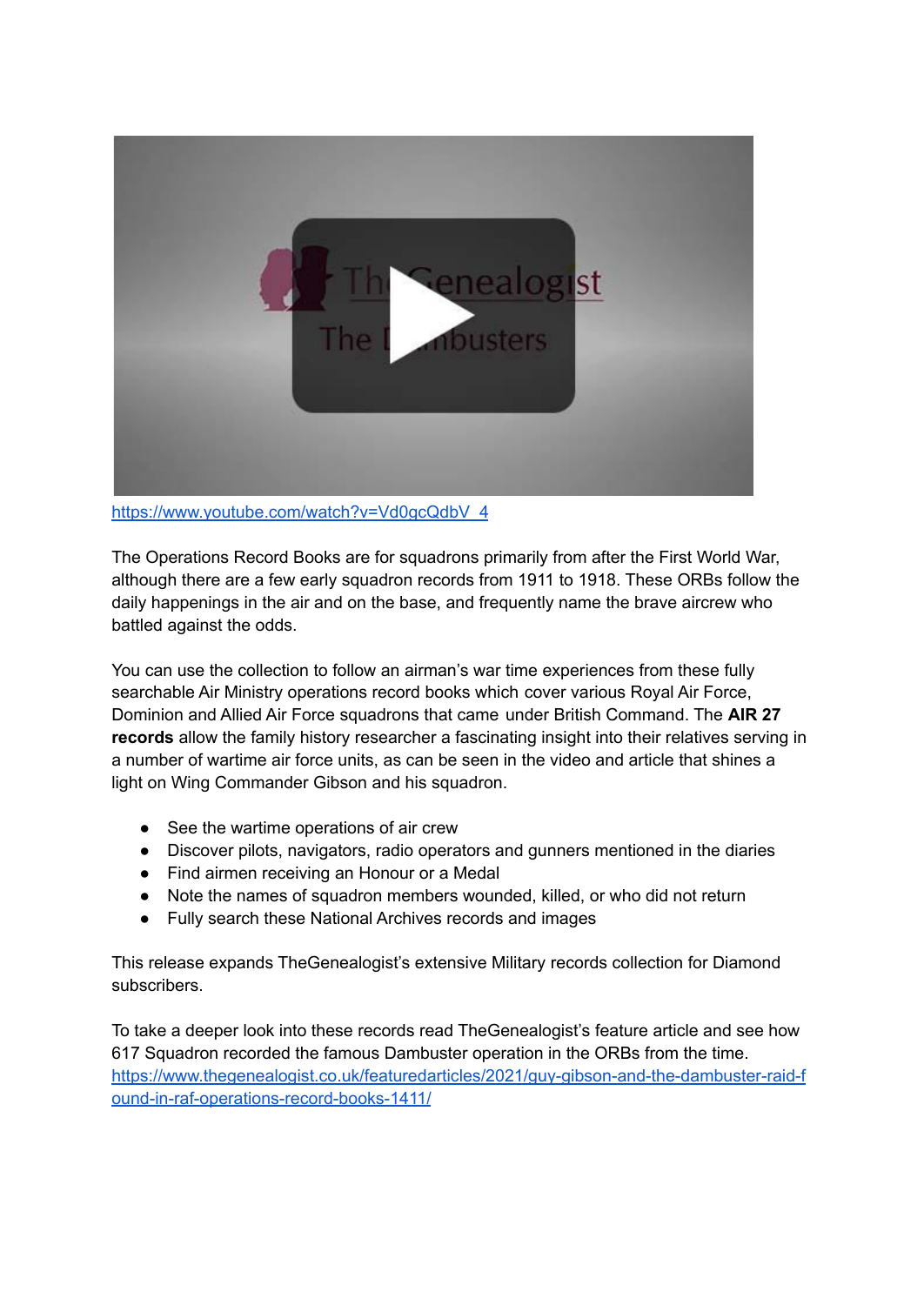

[https://www.youtube.com/watch?v=Vd0gcQdbV\\_4](https://www.youtube.com/watch?v=Vd0gcQdbV_4)

The Operations Record Books are for squadrons primarily from after the First World War, although there are a few early squadron records from 1911 to 1918. These ORBs follow the daily happenings in the air and on the base, and frequently name the brave aircrew who battled against the odds.

You can use the collection to follow an airman's war time experiences from these fully searchable Air Ministry operations record books which cover various Royal Air Force, Dominion and Allied Air Force squadrons that came under British Command. The **AIR 27 records** allow the family history researcher a fascinating insight into their relatives serving in a number of wartime air force units, as can be seen in the video and article that shines a light on Wing Commander Gibson and his squadron.

- See the wartime operations of air crew
- Discover pilots, navigators, radio operators and gunners mentioned in the diaries
- Find airmen receiving an Honour or a Medal
- Note the names of squadron members wounded, killed, or who did not return
- Fully search these National Archives records and images

This release expands TheGenealogist's extensive Military records collection for Diamond subscribers.

To take a deeper look into these records read TheGenealogist's feature article and see how 617 Squadron recorded the famous Dambuster operation in the ORBs from the time. [https://www.thegenealogist.co.uk/featuredarticles/2021/guy-gibson-and-the-dambuster-raid-f](https://www.thegenealogist.co.uk/featuredarticles/2021/guy-gibson-and-the-dambuster-raid-found-in-raf-operations-record-books-1411/) [ound-in-raf-operations-record-books-1411/](https://www.thegenealogist.co.uk/featuredarticles/2021/guy-gibson-and-the-dambuster-raid-found-in-raf-operations-record-books-1411/)